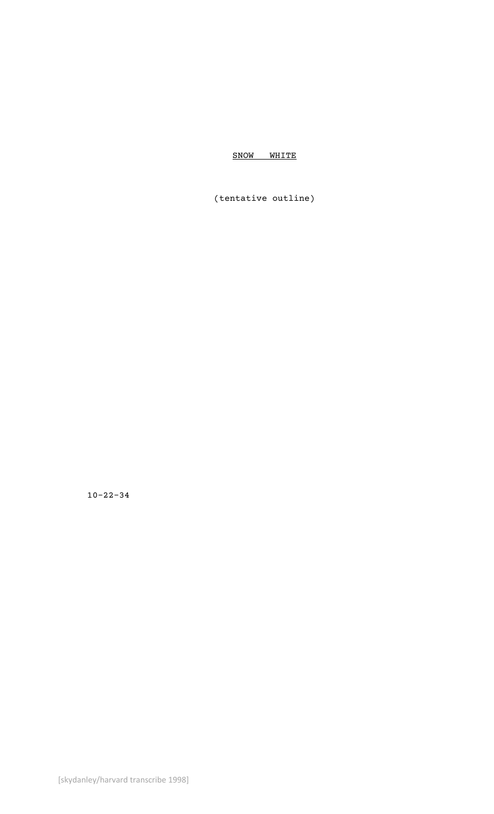SNOW WHITE

(tentative outline)

10-22-34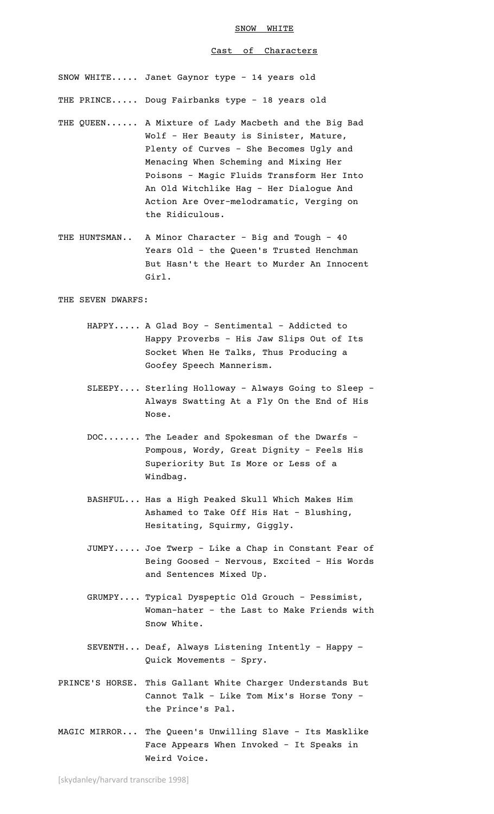#### Cast of Characters

SNOW WHITE..... Janet Gaynor type – 14 years old

THE PRINCE..... Doug Fairbanks type – 18 years old

- THE QUEEN...... A Mixture of Lady Macbeth and the Big Bad Wolf - Her Beauty is Sinister, Mature, Plenty of Curves - She Becomes Ugly and Menacing When Scheming and Mixing Her Poisons - Magic Fluids Transform Her Into An Old Witchlike Hag - Her Dialogue And Action Are Over-melodramatic, Verging on the Ridiculous.
- THE HUNTSMAN.. A Minor Character Big and Tough 40 Years Old - the Queen's Trusted Henchman But Hasn't the Heart to Murder An Innocent Girl.

THE SEVEN DWARFS:

- HAPPY..... A Glad Boy Sentimental Addicted to Happy Proverbs - His Jaw Slips Out of Its Socket When He Talks, Thus Producing a Goofey Speech Mannerism.
- SLEEPY.... Sterling Holloway Always Going to Sleep Always Swatting At a Fly On the End of His Nose.
- DOC....... The Leader and Spokesman of the Dwarfs Pompous, Wordy, Great Dignity - Feels His Superiority But Is More or Less of a Windbag.
- BASHFUL... Has a High Peaked Skull Which Makes Him Ashamed to Take Off His Hat - Blushing, Hesitating, Squirmy, Giggly.
- JUMPY..... Joe Twerp Like a Chap in Constant Fear of Being Goosed - Nervous, Excited - His Words and Sentences Mixed Up.
- GRUMPY.... Typical Dyspeptic Old Grouch Pessimist, Woman-hater - the Last to Make Friends with Snow White.
- SEVENTH... Deaf, Always Listening Intently Happy Quick Movements - Spry.
- PRINCE'S HORSE. This Gallant White Charger Understands But Cannot Talk - Like Tom Mix's Horse Tony – the Prince's Pal.
- MAGIC MIRROR... The Queen's Unwilling Slave Its Masklike Face Appears When Invoked - It Speaks in Weird Voice.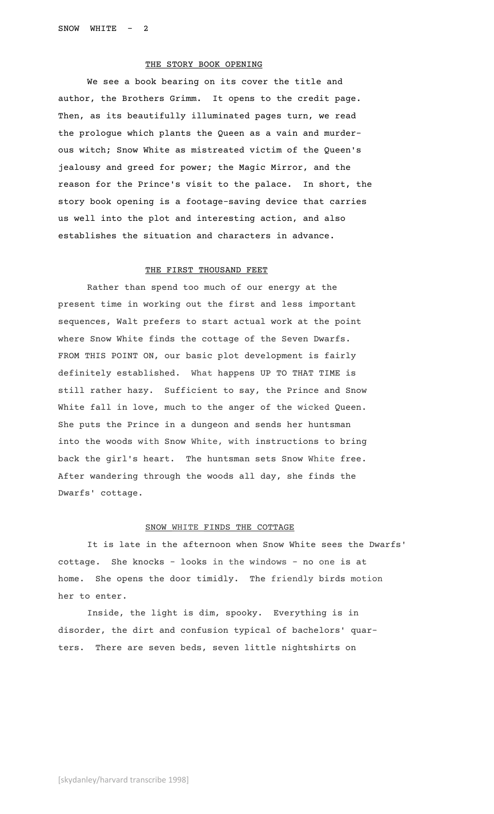# THE STORY BOOK OPENING

We see a book bearing on its cover the title and author, the Brothers Grimm. It opens to the credit page. Then, as its beautifully illuminated pages turn, we read the prologue which plants the Queen as a vain and murderous witch; Snow White as mistreated victim of the Queen's jealousy and greed for power; the Magic Mirror, and the reason for the Prince's visit to the palace. In short, the story book opening is a footage-saving device that carries us well into the plot and interesting action, and also establishes the situation and characters in advance.

# THE FIRST THOUSAND FEET

Rather than spend too much of our energy at the present time in working out the first and less important sequences, Walt prefers to start actual work at the point where Snow White finds the cottage of the Seven Dwarfs. FROM THIS POINT ON, our basic plot development is fairly definitely established. What happens UP TO THAT TIME is still rather hazy. Sufficient to say, the Prince and Snow White fall in love, much to the anger of the wicked Queen. She puts the Prince in a dungeon and sends her huntsman into the woods with Snow White, with instructions to bring back the girl's heart. The huntsman sets Snow White free. After wandering through the woods all day, she finds the Dwarfs' cottage.

# SNOW WHITE FINDS THE COTTAGE

It is late in the afternoon when Snow White sees the Dwarfs' cottage. She knocks - looks in the windows - no one is at home. She opens the door timidly. The friendly birds motion her to enter.

Inside, the light is dim, spooky. Everything is in disorder, the dirt and confusion typical of bachelors' quarters. There are seven beds, seven little nightshirts on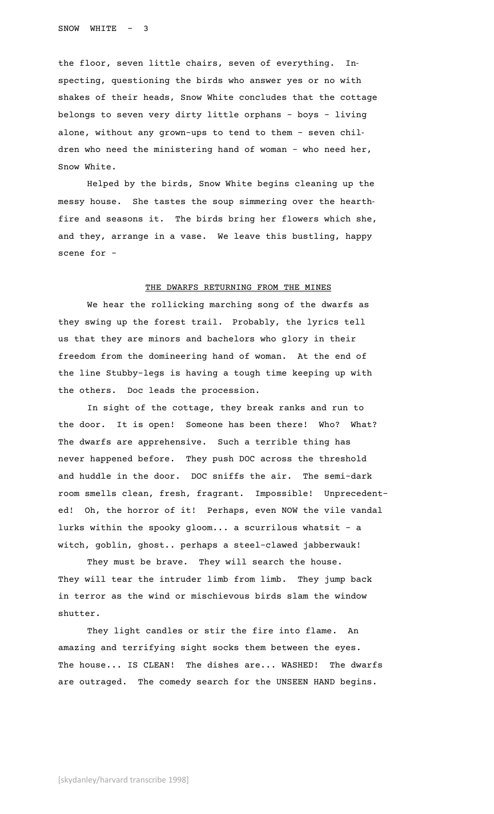the floor, seven little chairs, seven of everything. Inspecting, questioning the birds who answer yes or no with shakes of their heads, Snow White concludes that the cottage belongs to seven very dirty little orphans - boys - living alone, without any grown-ups to tend to them - seven children who need the ministering hand of woman - who need her, Snow White.

Helped by the birds, Snow White begins cleaning up the messy house. She tastes the soup simmering over the hearthfire and seasons it. The birds bring her flowers which she, and they, arrange in a vase. We leave this bustling, happy scene for –

# THE DWARFS RETURNING FROM THE MINES

We hear the rollicking marching song of the dwarfs as they swing up the forest trail. Probably, the lyrics tell us that they are minors and bachelors who glory in their freedom from the domineering hand of woman. At the end of the line Stubby-legs is having a tough time keeping up with the others. Doc leads the procession.

In sight of the cottage, they break ranks and run to the door. It is open! Someone has been there! Who? What? The dwarfs are apprehensive. Such a terrible thing has never happened before. They push DOC across the threshold and huddle in the door. DOC sniffs the air. The semi-dark room smells clean, fresh, fragrant. Impossible! Unprecedented! Oh, the horror of it! Perhaps, even NOW the vile vandal lurks within the spooky gloom... a scurrilous whatsit – a witch, goblin, ghost.. perhaps a steel-clawed jabberwauk!

They must be brave. They will search the house. They will tear the intruder limb from limb. They jump back in terror as the wind or mischievous birds slam the window shutter.

They light candles or stir the fire into flame. An amazing and terrifying sight socks them between the eyes. The house... IS CLEAN! The dishes are... WASHED! The dwarfs are outraged. The comedy search for the UNSEEN HAND begins.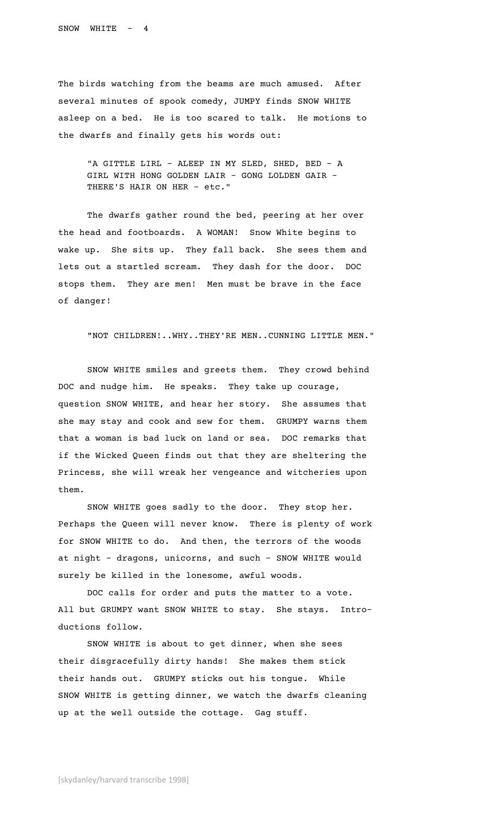The birds watching from the beams are much amused. After several minutes of spook comedy, JUMPY finds SNOW WHITE asleep on a bed. He is too scared to talk. He motions to the dwarfs and finally gets his words out:

"A GITTLE LIRL - ALEEP IN MY SLED, SHED, BED - A GIRL WITH HONG GOLDEN LAIR - GONG LOLDEN GAIR – THERE'S HAIR ON HER – etc."

The dwarfs gather round the bed, peering at her over the head and footboards. A WOMAN! Snow White begins to wake up. She sits up. They fall back. She sees them and lets out a startled scream. They dash for the door. DOC stops them. They are men! Men must be brave in the face of danger!

"NOT CHILDREN!..WHY..THEY'RE MEN..CUNNING LITTLE MEN."

SNOW WHITE smiles and greets them. They crowd behind DOC and nudge him. He speaks. They take up courage, question SNOW WHITE, and hear her story. She assumes that she may stay and cook and sew for them. GRUMPY warns them that a woman is bad luck on land or sea. DOC remarks that if the Wicked Queen finds out that they are sheltering the Princess, she will wreak her vengeance and witcheries upon them.

SNOW WHITE goes sadly to the door. They stop her. Perhaps the Queen will never know. There is plenty of work for SNOW WHITE to do. And then, the terrors of the woods at night – dragons, unicorns, and such – SNOW WHITE would surely be killed in the lonesome, awful woods.

DOC calls for order and puts the matter to a vote. All but GRUMPY want SNOW WHITE to stay. She stays. Introductions follow.

SNOW WHITE is about to get dinner, when she sees their disgracefully dirty hands! She makes them stick their hands out. GRUMPY sticks out his tongue. While SNOW WHITE is getting dinner, we watch the dwarfs cleaning up at the well outside the cottage. Gag stuff.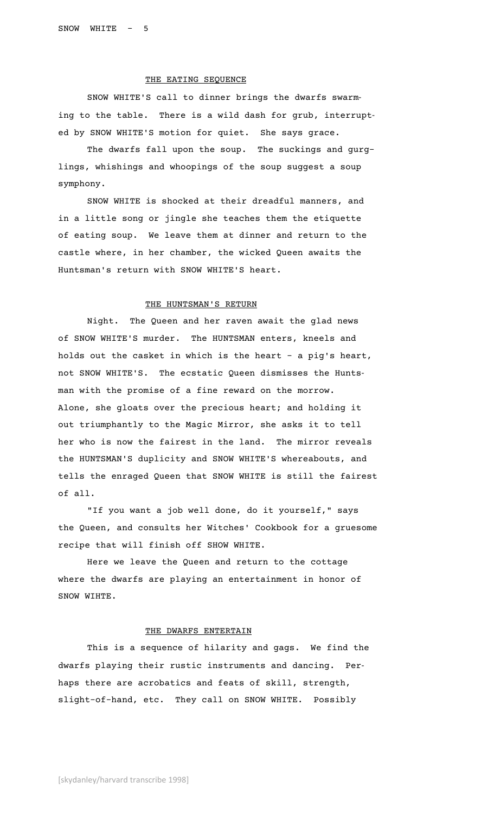### THE EATING SEQUENCE

SNOW WHITE'S call to dinner brings the dwarfs swarming to the table. There is a wild dash for grub, interrupted by SNOW WHITE'S motion for quiet. She says grace.

The dwarfs fall upon the soup. The suckings and gurglings, whishings and whoopings of the soup suggest a soup symphony.

SNOW WHITE is shocked at their dreadful manners, and in a little song or jingle she teaches them the etiquette of eating soup. We leave them at dinner and return to the castle where, in her chamber, the wicked Queen awaits the Huntsman's return with SNOW WHITE'S heart.

### THE HUNTSMAN'S RETURN

Night. The Queen and her raven await the glad news of SNOW WHITE'S murder. The HUNTSMAN enters, kneels and holds out the casket in which is the heart – a pig's heart, not SNOW WHITE'S. The ecstatic Queen dismisses the Huntsman with the promise of a fine reward on the morrow. Alone, she gloats over the precious heart; and holding it out triumphantly to the Magic Mirror, she asks it to tell her who is now the fairest in the land. The mirror reveals the HUNTSMAN'S duplicity and SNOW WHITE'S whereabouts, and tells the enraged Queen that SNOW WHITE is still the fairest of all.

"If you want a job well done, do it yourself," says the Queen, and consults her Witches' Cookbook for a gruesome recipe that will finish off SHOW WHITE.

Here we leave the Queen and return to the cottage where the dwarfs are playing an entertainment in honor of SNOW WIHTE.

#### THE DWARFS ENTERTAIN

This is a sequence of hilarity and gags. We find the dwarfs playing their rustic instruments and dancing. Perhaps there are acrobatics and feats of skill, strength, slight-of-hand, etc. They call on SNOW WHITE. Possibly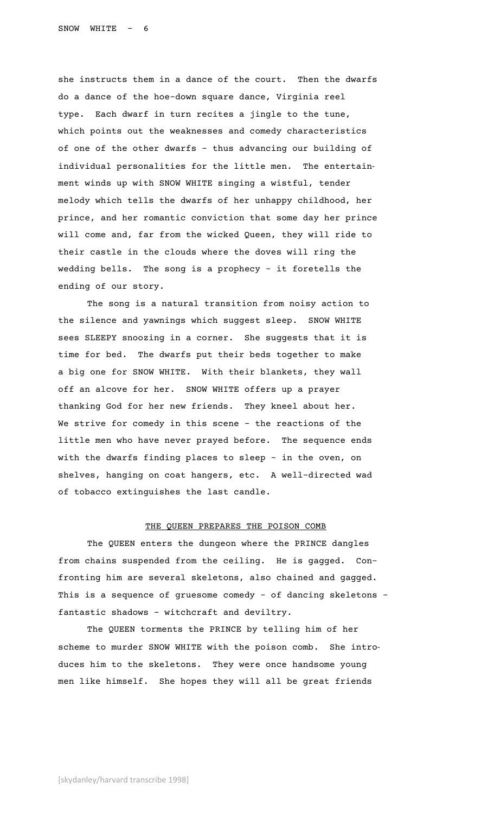she instructs them in a dance of the court. Then the dwarfs do a dance of the hoe-down square dance, Virginia reel type. Each dwarf in turn recites a jingle to the tune, which points out the weaknesses and comedy characteristics of one of the other dwarfs – thus advancing our building of individual personalities for the little men. The entertainment winds up with SNOW WHITE singing a wistful, tender melody which tells the dwarfs of her unhappy childhood, her prince, and her romantic conviction that some day her prince will come and, far from the wicked Queen, they will ride to their castle in the clouds where the doves will ring the wedding bells. The song is a prophecy – it foretells the ending of our story.

The song is a natural transition from noisy action to the silence and yawnings which suggest sleep. SNOW WHITE sees SLEEPY snoozing in a corner. She suggests that it is time for bed. The dwarfs put their beds together to make a big one for SNOW WHITE. With their blankets, they wall off an alcove for her. SNOW WHITE offers up a prayer thanking God for her new friends. They kneel about her. We strive for comedy in this scene – the reactions of the little men who have never prayed before. The sequence ends with the dwarfs finding places to sleep – in the oven, on shelves, hanging on coat hangers, etc. A well-directed wad of tobacco extinguishes the last candle.

# THE QUEEN PREPARES THE POISON COMB

The QUEEN enters the dungeon where the PRINCE dangles from chains suspended from the ceiling. He is gagged. Confronting him are several skeletons, also chained and gagged. This is a sequence of gruesome comedy – of dancing skeletons – fantastic shadows – witchcraft and deviltry.

The QUEEN torments the PRINCE by telling him of her scheme to murder SNOW WHITE with the poison comb. She introduces him to the skeletons. They were once handsome young men like himself. She hopes they will all be great friends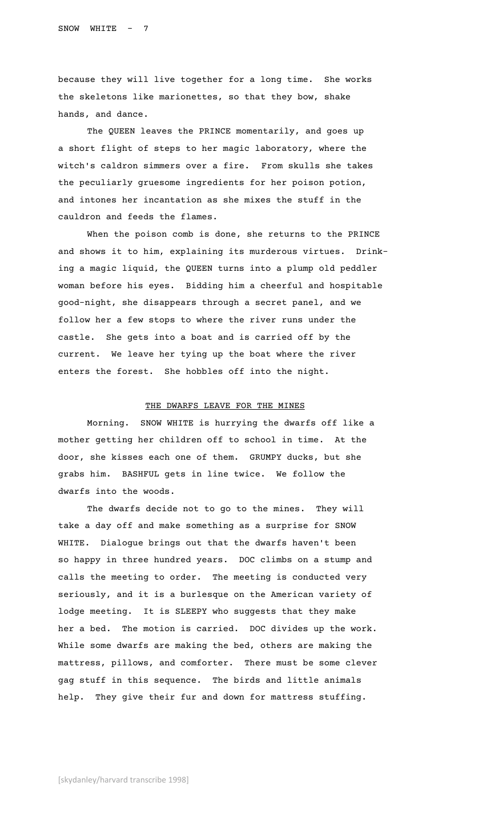because they will live together for a long time. She works the skeletons like marionettes, so that they bow, shake hands, and dance.

The QUEEN leaves the PRINCE momentarily, and goes up a short flight of steps to her magic laboratory, where the witch's caldron simmers over a fire. From skulls she takes the peculiarly gruesome ingredients for her poison potion, and intones her incantation as she mixes the stuff in the cauldron and feeds the flames.

When the poison comb is done, she returns to the PRINCE and shows it to him, explaining its murderous virtues. Drinking a magic liquid, the QUEEN turns into a plump old peddler woman before his eyes. Bidding him a cheerful and hospitable good-night, she disappears through a secret panel, and we follow her a few stops to where the river runs under the castle. She gets into a boat and is carried off by the current. We leave her tying up the boat where the river enters the forest. She hobbles off into the night.

### THE DWARFS LEAVE FOR THE MINES

Morning. SNOW WHITE is hurrying the dwarfs off like a mother getting her children off to school in time. At the door, she kisses each one of them. GRUMPY ducks, but she grabs him. BASHFUL gets in line twice. We follow the dwarfs into the woods.

The dwarfs decide not to go to the mines. They will take a day off and make something as a surprise for SNOW WHITE. Dialogue brings out that the dwarfs haven't been so happy in three hundred years. DOC climbs on a stump and calls the meeting to order. The meeting is conducted very seriously, and it is a burlesque on the American variety of lodge meeting. It is SLEEPY who suggests that they make her a bed. The motion is carried. DOC divides up the work. While some dwarfs are making the bed, others are making the mattress, pillows, and comforter. There must be some clever gag stuff in this sequence. The birds and little animals help. They give their fur and down for mattress stuffing.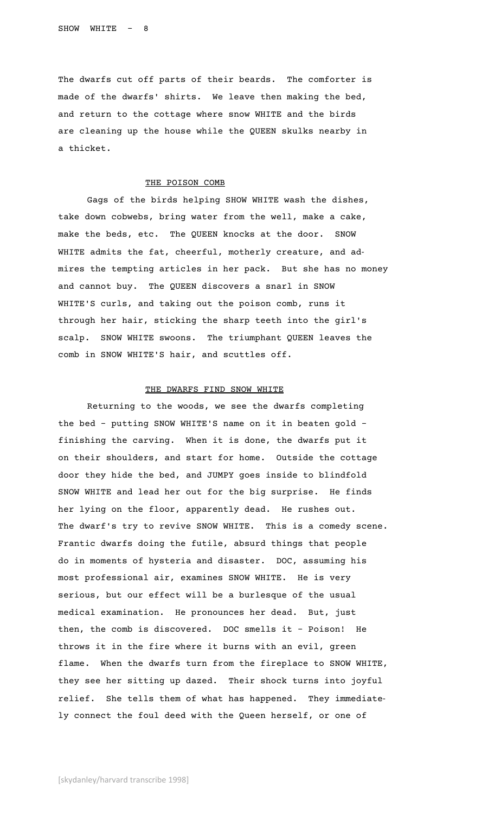The dwarfs cut off parts of their beards. The comforter is made of the dwarfs' shirts. We leave then making the bed, and return to the cottage where snow WHITE and the birds are cleaning up the house while the QUEEN skulks nearby in a thicket.

# THE POISON COMB

Gags of the birds helping SHOW WHITE wash the dishes, take down cobwebs, bring water from the well, make a cake, make the beds, etc. The QUEEN knocks at the door. SNOW WHITE admits the fat, cheerful, motherly creature, and admires the tempting articles in her pack. But she has no money and cannot buy. The QUEEN discovers a snarl in SNOW WHITE'S curls, and taking out the poison comb, runs it through her hair, sticking the sharp teeth into the girl's scalp. SNOW WHITE swoons. The triumphant QUEEN leaves the comb in SNOW WHITE'S hair, and scuttles off.

# THE DWARFS FIND SNOW WHITE

Returning to the woods, we see the dwarfs completing the bed - putting SNOW WHITE'S name on it in beaten gold – finishing the carving. When it is done, the dwarfs put it on their shoulders, and start for home. Outside the cottage door they hide the bed, and JUMPY goes inside to blindfold SNOW WHITE and lead her out for the big surprise. He finds her lying on the floor, apparently dead. He rushes out. The dwarf's try to revive SNOW WHITE. This is a comedy scene. Frantic dwarfs doing the futile, absurd things that people do in moments of hysteria and disaster. DOC, assuming his most professional air, examines SNOW WHITE. He is very serious, but our effect will be a burlesque of the usual medical examination. He pronounces her dead. But, just then, the comb is discovered. DOC smells it – Poison! He throws it in the fire where it burns with an evil, green flame. When the dwarfs turn from the fireplace to SNOW WHITE, they see her sitting up dazed. Their shock turns into joyful relief. She tells them of what has happened. They immediately connect the foul deed with the Queen herself, or one of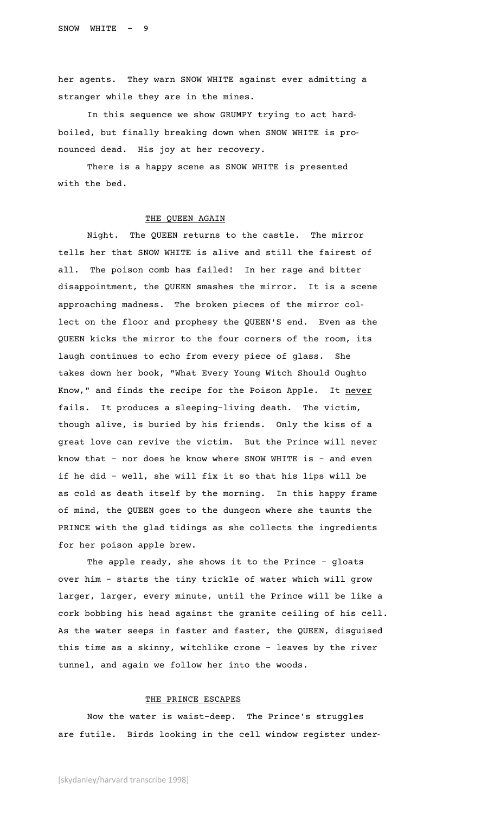her agents. They warn SNOW WHITE against ever admitting a stranger while they are in the mines.

In this sequence we show GRUMPY trying to act hardboiled, but finally breaking down when SNOW WHITE is pronounced dead. His joy at her recovery.

There is a happy scene as SNOW WHITE is presented with the bed.

### THE QUEEN AGAIN

Night. The QUEEN returns to the castle. The mirror tells her that SNOW WHITE is alive and still the fairest of all. The poison comb has failed! In her rage and bitter disappointment, the QUEEN smashes the mirror. It is a scene approaching madness. The broken pieces of the mirror collect on the floor and prophesy the QUEEN'S end. Even as the QUEEN kicks the mirror to the four corners of the room, its laugh continues to echo from every piece of glass. She takes down her book, "What Every Young Witch Should Oughto Know," and finds the recipe for the Poison Apple. It never fails. It produces a sleeping-living death. The victim, though alive, is buried by his friends. Only the kiss of a great love can revive the victim. But the Prince will never know that - nor does he know where SNOW WHITE is – and even if he did – well, she will fix it so that his lips will be as cold as death itself by the morning. In this happy frame of mind, the QUEEN goes to the dungeon where she taunts the PRINCE with the glad tidings as she collects the ingredients for her poison apple brew.

The apple ready, she shows it to the Prince – gloats over him – starts the tiny trickle of water which will grow larger, larger, every minute, until the Prince will be like a cork bobbing his head against the granite ceiling of his cell. As the water seeps in faster and faster, the QUEEN, disguised this time as a skinny, witchlike crone – leaves by the river tunnel, and again we follow her into the woods.

### THE PRINCE ESCAPES

Now the water is waist-deep. The Prince's struggles are futile. Birds looking in the cell window register under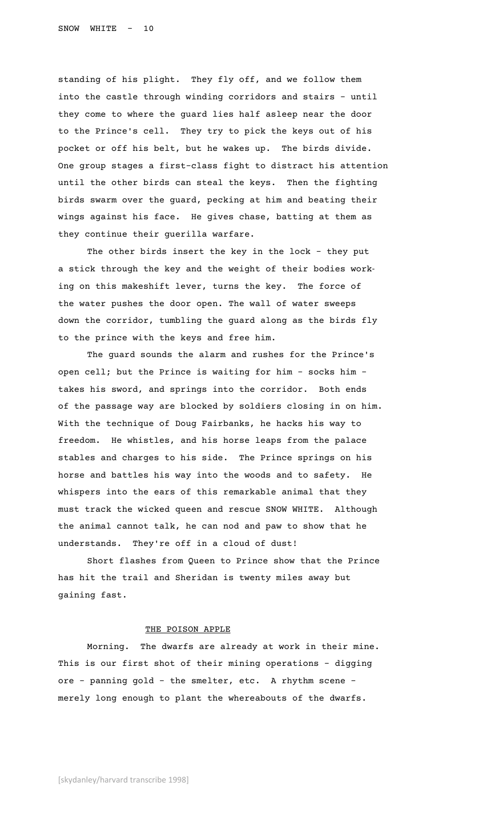standing of his plight. They fly off, and we follow them into the castle through winding corridors and stairs – until they come to where the guard lies half asleep near the door to the Prince's cell. They try to pick the keys out of his pocket or off his belt, but he wakes up. The birds divide. One group stages a first-class fight to distract his attention until the other birds can steal the keys. Then the fighting birds swarm over the guard, pecking at him and beating their wings against his face. He gives chase, batting at them as they continue their guerilla warfare.

The other birds insert the key in the lock – they put a stick through the key and the weight of their bodies working on this makeshift lever, turns the key. The force of the water pushes the door open. The wall of water sweeps down the corridor, tumbling the guard along as the birds fly to the prince with the keys and free him.

The guard sounds the alarm and rushes for the Prince's open cell; but the Prince is waiting for him – socks him – takes his sword, and springs into the corridor. Both ends of the passage way are blocked by soldiers closing in on him. With the technique of Doug Fairbanks, he hacks his way to freedom. He whistles, and his horse leaps from the palace stables and charges to his side. The Prince springs on his horse and battles his way into the woods and to safety. He whispers into the ears of this remarkable animal that they must track the wicked queen and rescue SNOW WHITE. Although the animal cannot talk, he can nod and paw to show that he understands. They're off in a cloud of dust!

Short flashes from Queen to Prince show that the Prince has hit the trail and Sheridan is twenty miles away but gaining fast.

# THE POISON APPLE

Morning. The dwarfs are already at work in their mine. This is our first shot of their mining operations – digging ore – panning gold – the smelter, etc. A rhythm scene – merely long enough to plant the whereabouts of the dwarfs.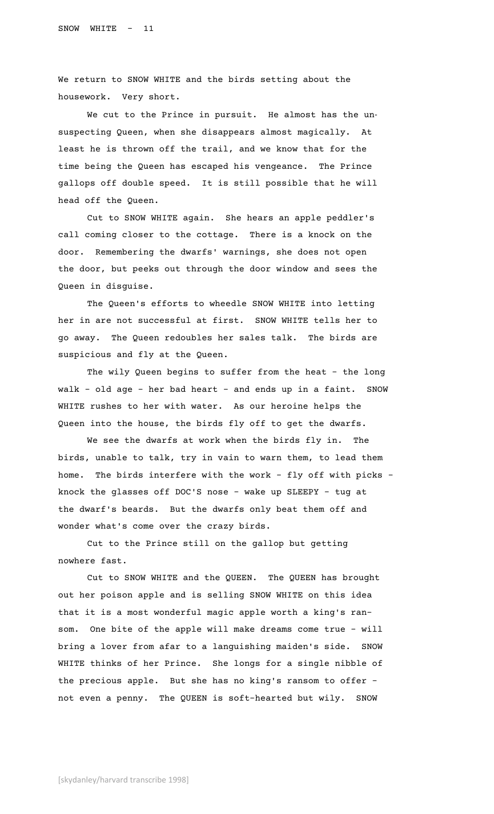We return to SNOW WHITE and the birds setting about the housework. Very short.

We cut to the Prince in pursuit. He almost has the unsuspecting Queen, when she disappears almost magically. At least he is thrown off the trail, and we know that for the time being the Queen has escaped his vengeance. The Prince gallops off double speed. It is still possible that he will head off the Queen.

Cut to SNOW WHITE again. She hears an apple peddler's call coming closer to the cottage. There is a knock on the door. Remembering the dwarfs' warnings, she does not open the door, but peeks out through the door window and sees the Queen in disguise.

The Queen's efforts to wheedle SNOW WHITE into letting her in are not successful at first. SNOW WHITE tells her to go away. The Queen redoubles her sales talk. The birds are suspicious and fly at the Queen.

The wily Queen begins to suffer from the heat – the long walk – old age – her bad heart – and ends up in a faint. SNOW WHITE rushes to her with water. As our heroine helps the Queen into the house, the birds fly off to get the dwarfs.

We see the dwarfs at work when the birds fly in. The birds, unable to talk, try in vain to warn them, to lead them home. The birds interfere with the work – fly off with picks – knock the glasses off DOC'S nose – wake up SLEEPY – tug at the dwarf's beards. But the dwarfs only beat them off and wonder what's come over the crazy birds.

Cut to the Prince still on the gallop but getting nowhere fast.

Cut to SNOW WHITE and the QUEEN. The QUEEN has brought out her poison apple and is selling SNOW WHITE on this idea that it is a most wonderful magic apple worth a king's ransom. One bite of the apple will make dreams come true – will bring a lover from afar to a languishing maiden's side. SNOW WHITE thinks of her Prince. She longs for a single nibble of the precious apple. But she has no king's ransom to offer – not even a penny. The QUEEN is soft-hearted but wily. SNOW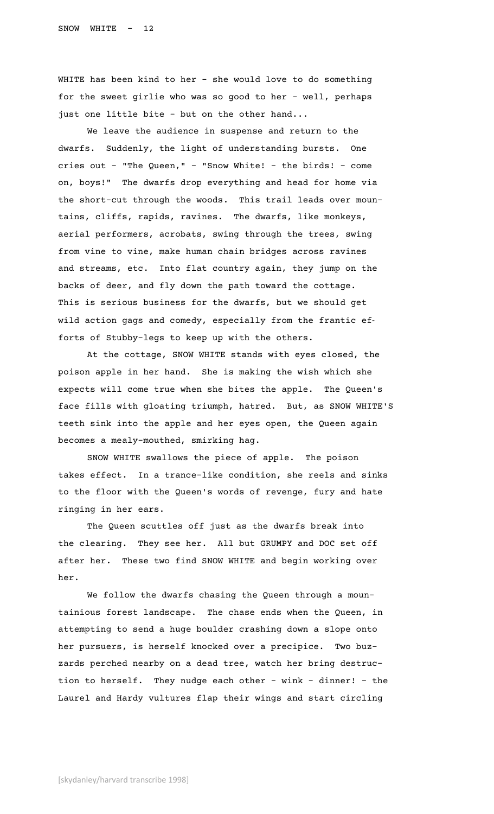WHITE has been kind to her – she would love to do something for the sweet girlie who was so good to her – well, perhaps just one little bite – but on the other hand...

We leave the audience in suspense and return to the dwarfs. Suddenly, the light of understanding bursts. One cries out – "The Queen," – "Snow White! – the birds! – come on, boys!" The dwarfs drop everything and head for home via the short-cut through the woods. This trail leads over mountains, cliffs, rapids, ravines. The dwarfs, like monkeys, aerial performers, acrobats, swing through the trees, swing from vine to vine, make human chain bridges across ravines and streams, etc. Into flat country again, they jump on the backs of deer, and fly down the path toward the cottage. This is serious business for the dwarfs, but we should get wild action gags and comedy, especially from the frantic efforts of Stubby-legs to keep up with the others.

At the cottage, SNOW WHITE stands with eyes closed, the poison apple in her hand. She is making the wish which she expects will come true when she bites the apple. The Queen's face fills with gloating triumph, hatred. But, as SNOW WHITE'S teeth sink into the apple and her eyes open, the Queen again becomes a mealy-mouthed, smirking hag.

SNOW WHITE swallows the piece of apple. The poison takes effect. In a trance-like condition, she reels and sinks to the floor with the Queen's words of revenge, fury and hate ringing in her ears.

The Queen scuttles off just as the dwarfs break into the clearing. They see her. All but GRUMPY and DOC set off after her. These two find SNOW WHITE and begin working over her.

We follow the dwarfs chasing the Queen through a mountainious forest landscape. The chase ends when the Queen, in attempting to send a huge boulder crashing down a slope onto her pursuers, is herself knocked over a precipice. Two buzzards perched nearby on a dead tree, watch her bring destruction to herself. They nudge each other – wink – dinner! – the Laurel and Hardy vultures flap their wings and start circling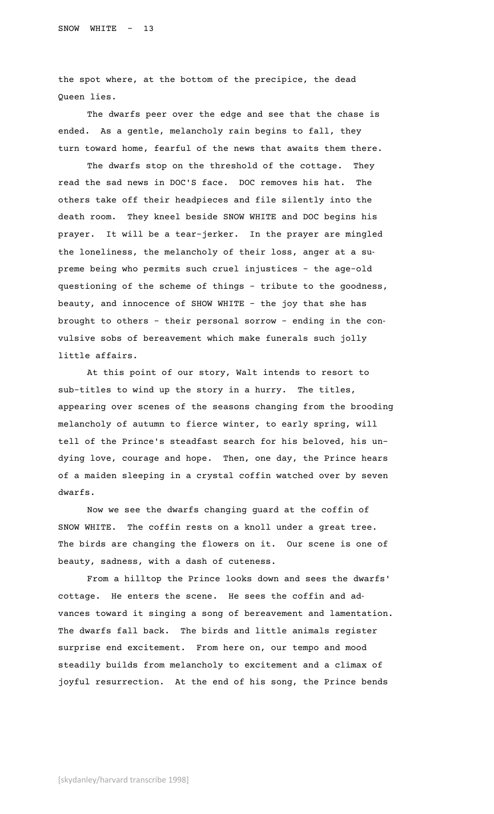the spot where, at the bottom of the precipice, the dead Queen lies.

The dwarfs peer over the edge and see that the chase is ended. As a gentle, melancholy rain begins to fall, they turn toward home, fearful of the news that awaits them there.

The dwarfs stop on the threshold of the cottage. They read the sad news in DOC'S face. DOC removes his hat. The others take off their headpieces and file silently into the death room. They kneel beside SNOW WHITE and DOC begins his prayer. It will be a tear-jerker. In the prayer are mingled the loneliness, the melancholy of their loss, anger at a supreme being who permits such cruel injustices – the age-old questioning of the scheme of things – tribute to the goodness, beauty, and innocence of SHOW WHITE – the joy that she has brought to others – their personal sorrow – ending in the convulsive sobs of bereavement which make funerals such jolly little affairs.

At this point of our story, Walt intends to resort to sub-titles to wind up the story in a hurry. The titles, appearing over scenes of the seasons changing from the brooding melancholy of autumn to fierce winter, to early spring, will tell of the Prince's steadfast search for his beloved, his undying love, courage and hope. Then, one day, the Prince hears of a maiden sleeping in a crystal coffin watched over by seven dwarfs.

Now we see the dwarfs changing guard at the coffin of SNOW WHITE. The coffin rests on a knoll under a great tree. The birds are changing the flowers on it. Our scene is one of beauty, sadness, with a dash of cuteness.

From a hilltop the Prince looks down and sees the dwarfs' cottage. He enters the scene. He sees the coffin and advances toward it singing a song of bereavement and lamentation. The dwarfs fall back. The birds and little animals register surprise end excitement. From here on, our tempo and mood steadily builds from melancholy to excitement and a climax of joyful resurrection. At the end of his song, the Prince bends